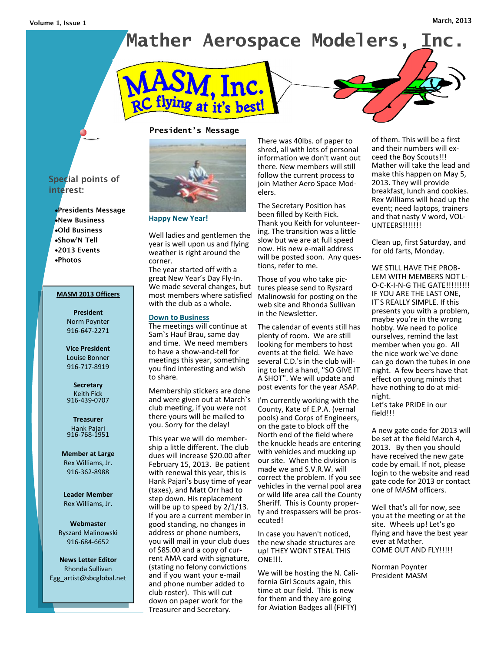# **Mather Aerospace Modelers, Inc.**



## **President's Message**



**Happy New Year!**

Well ladies and gentlemen the year is well upon us and flying weather is right around the corner.

The year started off with a great New Year's Day Fly-In. We made several changes, but most members where satisfied with the club as a whole.

#### **Down to Business**

The meetings will continue at Sam`s Hauf Brau, same day and time. We need members to have a show-and-tell for meetings this year, something you find interesting and wish to share.

Membership stickers are done and were given out at March`s club meeting, if you were not there yours will be mailed to you. Sorry for the delay!

This year we will do membership a little different. The club dues will increase \$20.00 after February 15, 2013. Be patient with renewal this year, this is Hank Pajari's busy time of year (taxes), and Matt Orr had to step down. His replacement will be up to speed by 2/1/13. If you are a current member in good standing, no changes in address or phone numbers, you will mail in your club dues of \$85.00 and a copy of current AMA card with signature, (stating no felony convictions and if you want your e-mail and phone number added to club roster). This will cut down on paper work for the Treasurer and Secretary.

There was 40lbs. of paper to shred, all with lots of personal information we don't want out there. New members will still follow the current process to join Mather Aero Space Modelers.

The Secretary Position has been filled by Keith Fick. Thank you Keith for volunteering. The transition was a little slow but we are at full speed now. His new e-mail address will be posted soon. Any questions, refer to me.

Those of you who take pictures please send to Ryszard Malinowski for posting on the web site and Rhonda Sullivan in the Newsletter.

The calendar of events still has plenty of room. We are still looking for members to host events at the field. We have several C.D.'s in the club willing to lend a hand, "SO GIVE IT A SHOT". We will update and post events for the year ASAP.

I'm currently working with the County, Kate of E.P.A. (vernal pools) and Corps of Engineers, on the gate to block off the North end of the field where the knuckle heads are entering with vehicles and mucking up our site. When the division is made we and S.V.R.W. will correct the problem. If you see vehicles in the vernal pool area or wild life area call the County Sheriff. This is County property and trespassers will be prosecuted!

In case you haven't noticed, the new shade structures are up! THEY WONT STEAL THIS ONE!!!.

We will be hosting the N. California Girl Scouts again, this time at our field. This is new for them and they are going for Aviation Badges all (FIFTY)

of them. This will be a first and their numbers will exceed the Boy Scouts!!! Mather will take the lead and make this happen on May 5, 2013. They will provide breakfast, lunch and cookies. Rex Williams will head up the event; need laptops, trainers and that nasty V word, VOL-**UNTEERS!!!!!!!** 

Clean up, first Saturday, and for old farts, Monday.

WE STILL HAVE THE PROB-LEM WITH MEMBERS NOT L-O-C-K-I-N-G THE GATE!!!!!!!!! IF YOU ARE THE LAST ONE, IT`S REALLY SIMPLE. If this presents you with a problem, maybe you're in the wrong hobby. We need to police ourselves, remind the last member when you go. All the nice work we`ve done can go down the tubes in one night. A few beers have that effect on young minds that have nothing to do at midnight.

Let's take PRIDE in our field!!!

A new gate code for 2013 will be set at the field March 4, 2013. By then you should have received the new gate code by email. If not, please login to the website and read gate code for 2013 or contact one of MASM officers.

Well that's all for now, see you at the meeting or at the site. Wheels up! Let's go flying and have the best year ever at Mather. COME OUT AND FLY!!!!!

Norman Poynter President MASM

# Special points of interest:

•Presidents Message •New Business .Old Business •Show'N Tell •2013 Events •Photos

#### **MASM 2013 Officers**

**President** Norm Poynter 916-647-2271

**Vice President** Louise Bonner 916-717-8919

**Secretary** Keith Fick 916-439-0707

**Treasurer** Hank Pajari 916-768-1951

**Member at Large** Rex Williams, Jr. 916-362-8988

**Leader Member** Rex Williams, Jr.

**Webmaster** Ryszard Malinowski 916-684-6652

**News Letter Editor** Rhonda Sullivan Egg\_artist@sbcglobal.net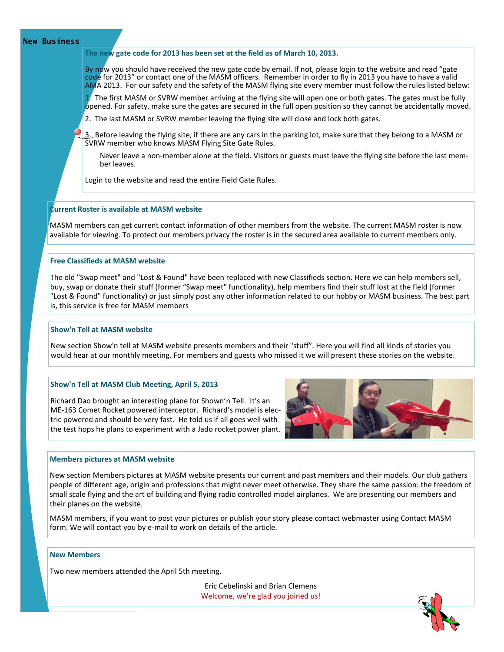## **New Business**

## **The new gate code for 2013 has been set at the field as of March 10, 2013.**

By now you should have received the new gate code by email. If not, please login to the website and read "gate code for 2013" or contact one of the MASM officers. Remember in order to fly in 2013 you have to have a valid AMA 2013. For our safety and the safety of the MASM flying site every member must follow the rules listed below:

1. The first MASM or SVRW member arriving at the flying site will open one or both gates. The gates must be fully opened. For safety, make sure the gates are secured in the full open position so they cannot be accidentally moved.

2. The last MASM or SVRW member leaving the flying site will close and lock both gates.

3. Before leaving the flying site, if there are any cars in the parking lot, make sure that they belong to a MASM or SVRW member who knows MASM Flying Site Gate Rules.

Never leave a non-member alone at the field. Visitors or guests must leave the flying site before the last member leaves.

Login to the website and read the entire Field Gate Rules.

## **Current Roster is available at MASM website**

MASM members can get current contact information of other members from the website. The current MASM roster is now available for viewing. To protect our members privacy the roster is in the secured area available to current members only.

## **Free Classifieds at MASM website**

The old "Swap meet" and "Lost & Found" have been replaced with new Classifieds section. Here we can help members sell, buy, swap or donate their stuff (former "Swap meet" functionality), help members find their stuff lost at the field (former "Lost & Found" functionality) or just simply post any other information related to our hobby or MASM business. The best part is, this service is free for MASM members

## **Show'n Tell at MASM website**

New section Show'n tell at MASM website presents members and their "stuff". Here you will find all kinds of stories you would hear at our monthly meeting. For members and guests who missed it we will present these stories on the website.

#### **Show'n Tell at MASM Club Meeting, April 5, 2013**

Richard Dao brought an interesting plane for Shown'n Tell. It's an ME-163 Comet Rocket powered interceptor. Richard's model is electric powered and should be very fast. He told us if all goes well with the test hops he plans to experiment with a Jado rocket power plant.



#### **Members pictures at MASM website**

New section Members pictures at MASM website presents our current and past members and their models. Our club gathers people of different age, origin and professions that might never meet otherwise. They share the same passion: the freedom of small scale flying and the art of building and flying radio controlled model airplanes. We are presenting our members and their planes on the website.

MASM members, if you want to post your pictures or publish your story please contact webmaster using Contact MASM form. We will contact you by e-mail to work on details of the article.

## **New Members**

Two new members attended the April 5th meeting.

Eric Cebelinski and Brian Clemens Welcome, we're glad you joined us!

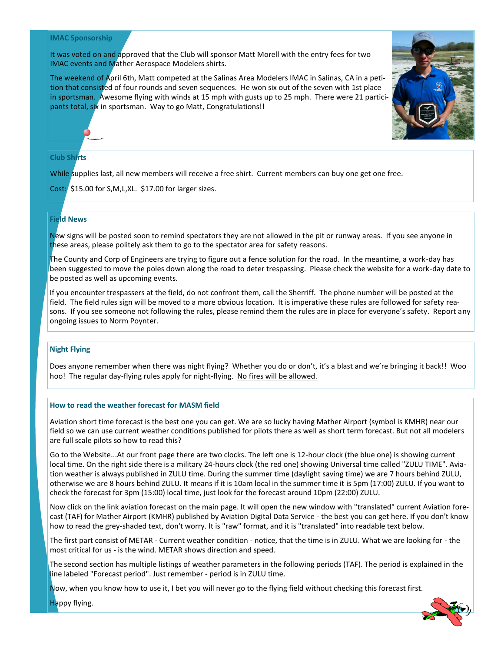## **IMAC Sponsorship**

It was voted on and approved that the Club will sponsor Matt Morell with the entry fees for two IMAC events and Mather Aerospace Modelers shirts.

The weekend of April 6th, Matt competed at the Salinas Area Modelers IMAC in Salinas, CA in a petition that consisted of four rounds and seven sequences. He won six out of the seven with 1st place in sportsman. Awesome flying with winds at 15 mph with gusts up to 25 mph. There were 21 participants total, six in sportsman. Way to go Matt, Congratulations!!



## **Club Shirts**

While supplies last, all new members will receive a free shirt. Current members can buy one get one free.

Cost: \$15.00 for S,M,L,XL. \$17.00 for larger sizes.

# **Field News**

New signs will be posted soon to remind spectators they are not allowed in the pit or runway areas. If you see anyone in these areas, please politely ask them to go to the spectator area for safety reasons.

The County and Corp of Engineers are trying to figure out a fence solution for the road. In the meantime, a work-day has been suggested to move the poles down along the road to deter trespassing. Please check the website for a work-day date to be posted as well as upcoming events.

If you encounter trespassers at the field, do not confront them, call the Sherriff. The phone number will be posted at the field. The field rules sign will be moved to a more obvious location. It is imperative these rules are followed for safety reasons. If you see someone not following the rules, please remind them the rules are in place for everyone's safety. Report any ongoing issues to Norm Poynter.

## **Night Flying**

Does anyone remember when there was night flying? Whether you do or don't, it's a blast and we're bringing it back!! Woo hoo! The regular day-flying rules apply for night-flying. No fires will be allowed.

## **How to read the weather forecast for MASM field**

Aviation short time forecast is the best one you can get. We are so lucky having Mather Airport (symbol is KMHR) near our field so we can use current weather conditions published for pilots there as well as short term forecast. But not all modelers are full scale pilots so how to read this?

Go to the Website...At our front page there are two clocks. The left one is 12-hour clock (the blue one) is showing current local time. On the right side there is a military 24-hours clock (the red one) showing Universal time called "ZULU TIME". Aviation weather is always published in ZULU time. During the summer time (daylight saving time) we are 7 hours behind ZULU, otherwise we are 8 hours behind ZULU. It means if it is 10am local in the summer time it is 5pm (17:00) ZULU. If you want to check the forecast for 3pm (15:00) local time, just look for the forecast around 10pm (22:00) ZULU.

Now click on the link aviation forecast on the main page. It will open the new window with "translated" current Aviation forecast (TAF) for Mather Airport (KMHR) published by Aviation Digital Data Service - the best you can get here. If you don't know how to read the grey-shaded text, don't worry. It is "raw" format, and it is "translated" into readable text below.

The first part consist of METAR - Current weather condition - notice, that the time is in ZULU. What we are looking for - the most critical for us - is the wind. METAR shows direction and speed.

The second section has multiple listings of weather parameters in the following periods (TAF). The period is explained in the line labeled "Forecast period". Just remember - period is in ZULU time.

Now, when you know how to use it, I bet you will never go to the flying field without checking this forecast first.

Happy flying.

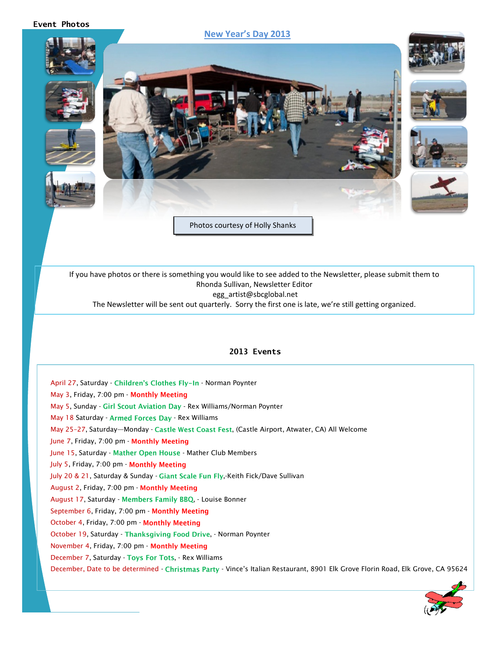## **Event Photos**

# **New Year's Day 2013**



If you have photos or there is something you would like to see added to the Newsletter, please submit them to Rhonda Sullivan, Newsletter Editor egg\_artist@sbcglobal.net

The Newsletter will be sent out quarterly. Sorry the first one is late, we're still getting organized.

## **2013 Events**

April 27, Saturday - Children's Clothes Fly-In - Norman Poynter May 3, Friday, 7:00 pm - Monthly Meeting May 5, Sunday - Girl Scout Aviation Day - Rex Williams/Norman Poynter May 18 Saturday - Armed Forces Day - Rex Williams May 25-27, Saturday—Monday - Castle West Coast Fest, (Castle Airport, Atwater, CA) All Welcome June 7, Friday, 7:00 pm - Monthly Meeting June 15, Saturday - Mather Open House - Mather Club Members July 5, Friday, 7:00 pm - Monthly Meeting July 20 & 21, Saturday & Sunday - Giant Scale Fun Fly,-Keith Fick/Dave Sullivan August 2, Friday, 7:00 pm - August 17, Saturday - Members Family BBQ, - Louise Bonner September 6, Friday, 7:00 pm - Monthly Meeting October 4, Friday, 7:00 pm - Monthly Meeting October 19, Saturday - Thanksgiving Food Drive, - Norman Poynter November 4, Friday, 7:00 pm - December 7, Saturday - Toys For Tots, - Rex Williams December, Date to be determined - Christmas Party - Vince's Italian Restaurant, 8901 Elk Grove Florin Road, Elk Grove, CA 95624